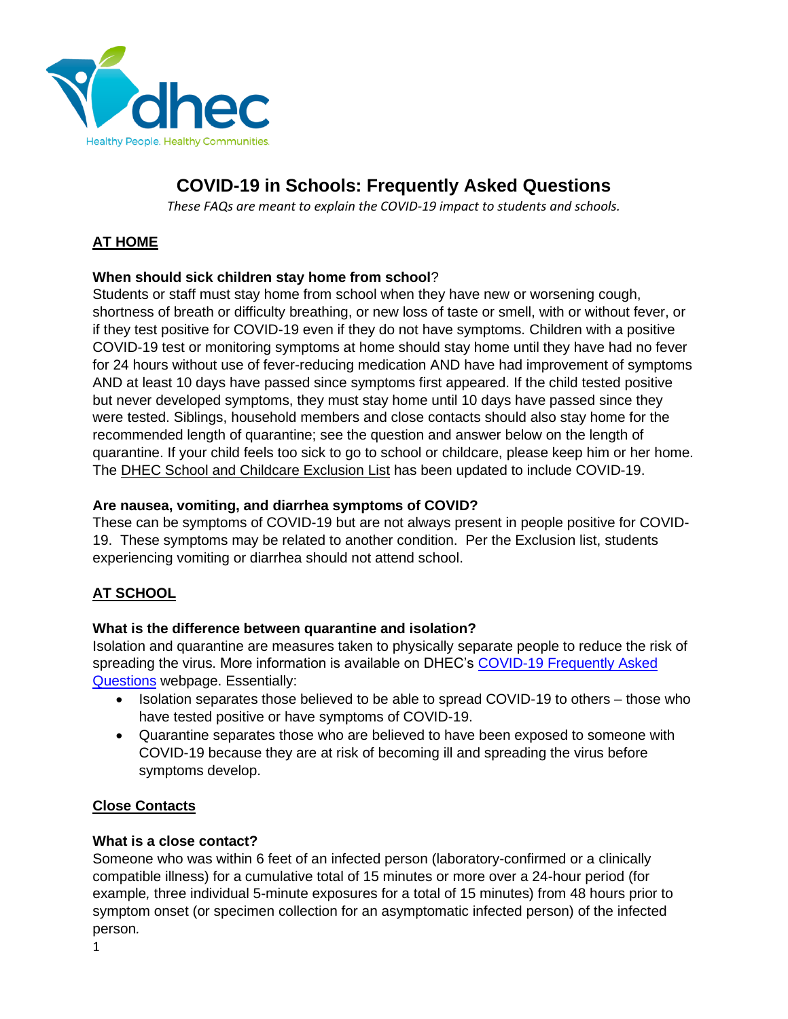

# **COVID-19 in Schools: Frequently Asked Questions**

*These FAQs are meant to explain the COVID-19 impact to students and schools.*

## **AT HOME**

## **When should sick children stay home from school**?

Students or staff must stay home from school when they have new or worsening cough, shortness of breath or difficulty breathing, or new loss of taste or smell, with or without fever, or if they test positive for COVID-19 even if they do not have symptoms. Children with a positive COVID-19 test or monitoring symptoms at home should stay home until they have had no fever for 24 hours without use of fever-reducing medication AND have had improvement of symptoms AND at least 10 days have passed since symptoms first appeared. If the child tested positive but never developed symptoms, they must stay home until 10 days have passed since they were tested. Siblings, household members and close contacts should also stay home for the recommended length of quarantine; see the question and answer below on the length of quarantine. If your child feels too sick to go to school or childcare, please keep him or her home. The [DHEC School and Childcare Exclusion List](https://scdhec.gov/sites/default/files/Library/CR-011634.pdf) has been updated to include COVID-19.

## **Are nausea, vomiting, and diarrhea symptoms of COVID?**

These can be symptoms of COVID-19 but are not always present in people positive for COVID-19. These symptoms may be related to another condition. Per the Exclusion list, students experiencing vomiting or diarrhea should not attend school.

## **AT SCHOOL**

## **What is the difference between quarantine and isolation?**

Isolation and quarantine are measures taken to physically separate people to reduce the risk of spreading the virus. More information is available on DHEC's [COVID-19 Frequently Asked](https://www.scdhec.gov/infectious-diseases/viruses/coronavirus-disease-2019-covid-19/frequently-asked-questions-covid-19)  [Questions](https://www.scdhec.gov/infectious-diseases/viruses/coronavirus-disease-2019-covid-19/frequently-asked-questions-covid-19) webpage. Essentially:

- Isolation separates those believed to be able to spread COVID-19 to others those who have tested positive or have symptoms of COVID-19.
- Quarantine separates those who are believed to have been exposed to someone with COVID-19 because they are at risk of becoming ill and spreading the virus before symptoms develop.

## **Close Contacts**

## **What is a close contact?**

Someone who was within 6 feet of an infected person (laboratory-confirmed or a clinically compatible illness) for a cumulative total of 15 minutes or more over a 24-hour period (for example*,* three individual 5-minute exposures for a total of 15 minutes) from 48 hours prior to symptom onset (or specimen collection for an asymptomatic infected person) of the infected person*.*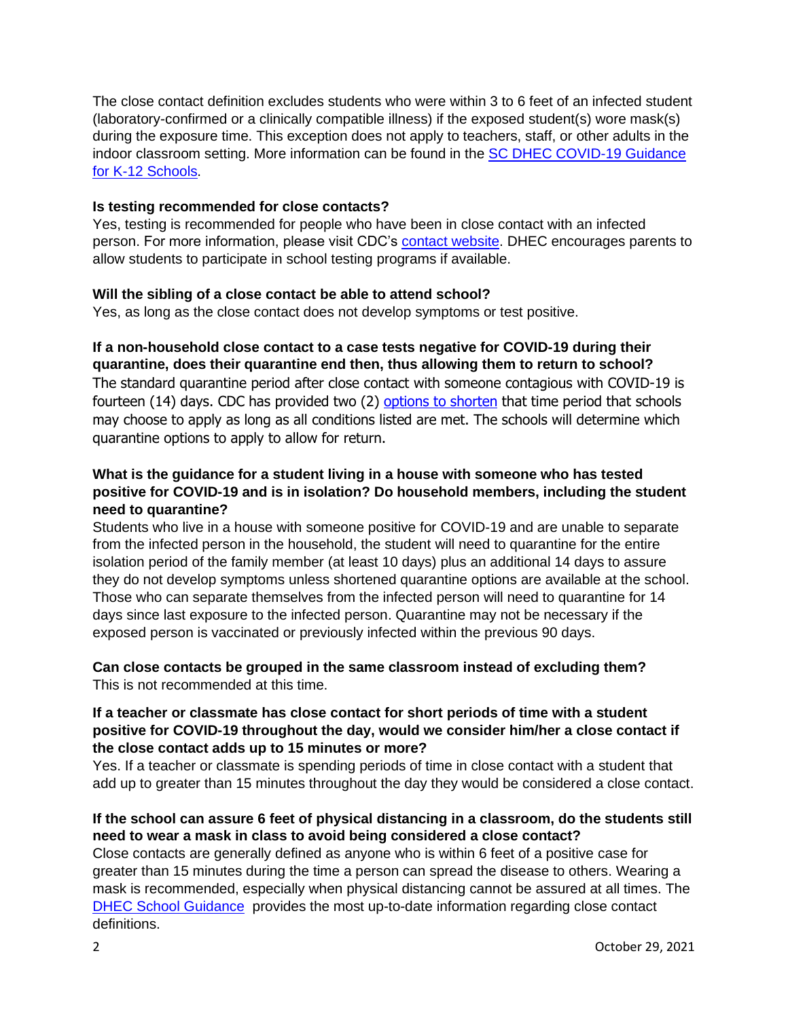The close contact definition excludes students who were within 3 to 6 feet of an infected student (laboratory-confirmed or a clinically compatible illness) if the exposed student(s) wore mask(s) during the exposure time. This exception does not apply to teachers, staff, or other adults in the indoor classroom setting. More information can be found in the [SC DHEC COVID-19 Guidance](https://scdhec.gov/sites/default/files/media/document/2021.2022-School-Guidance-Booklet-10.20.21.pdf)  [for K-12 Schools.](https://scdhec.gov/sites/default/files/media/document/2021.2022-School-Guidance-Booklet-10.20.21.pdf)

#### **Is testing recommended for close contacts?**

Yes, testing is recommended for people who have been in close contact with an infected person. For more information, please visit CDC's [contact website.](https://www.cdc.gov/coronavirus/2019-ncov/daily-life-coping/contact-tracing.html) DHEC encourages parents to allow students to participate in school testing programs if available.

#### **Will the sibling of a close contact be able to attend school?**

Yes, as long as the close contact does not develop symptoms or test positive.

# **If a non-household close contact to a case tests negative for COVID-19 during their**

**quarantine, does their quarantine end then, thus allowing them to return to school?** The standard quarantine period after close contact with someone contagious with COVID-19 is fourteen (14) days. CDC has provided two (2) [options to shorten](https://scdhec.gov/covid19/options-shorten-quarantine-covid-19) that time period that schools may choose to apply as long as all conditions listed are met. The schools will determine which quarantine options to apply to allow for return.

## **What is the guidance for a student living in a house with someone who has tested positive for COVID-19 and is in isolation? Do household members, including the student need to quarantine?**

Students who live in a house with someone positive for COVID-19 and are unable to separate from the infected person in the household, the student will need to quarantine for the entire isolation period of the family member (at least 10 days) plus an additional 14 days to assure they do not develop symptoms unless shortened quarantine options are available at the school. Those who can separate themselves from the infected person will need to quarantine for 14 days since last exposure to the infected person. Quarantine may not be necessary if the exposed person is vaccinated or previously infected within the previous 90 days.

## **Can close contacts be grouped in the same classroom instead of excluding them?** This is not recommended at this time.

## **If a teacher or classmate has close contact for short periods of time with a student positive for COVID-19 throughout the day, would we consider him/her a close contact if the close contact adds up to 15 minutes or more?**

Yes. If a teacher or classmate is spending periods of time in close contact with a student that add up to greater than 15 minutes throughout the day they would be considered a close contact.

## **If the school can assure 6 feet of physical distancing in a classroom, do the students still need to wear a mask in class to avoid being considered a close contact?**

Close contacts are generally defined as anyone who is within 6 feet of a positive case for greater than 15 minutes during the time a person can spread the disease to others. Wearing a mask is recommended, especially when physical distancing cannot be assured at all times. The [DHEC School Guidance](https://scdhec.gov/sites/default/files/media/document/2021.2022-School-Guidance-Booklet-10.20.21.pdf) provides the most up-to-date information regarding close contact definitions.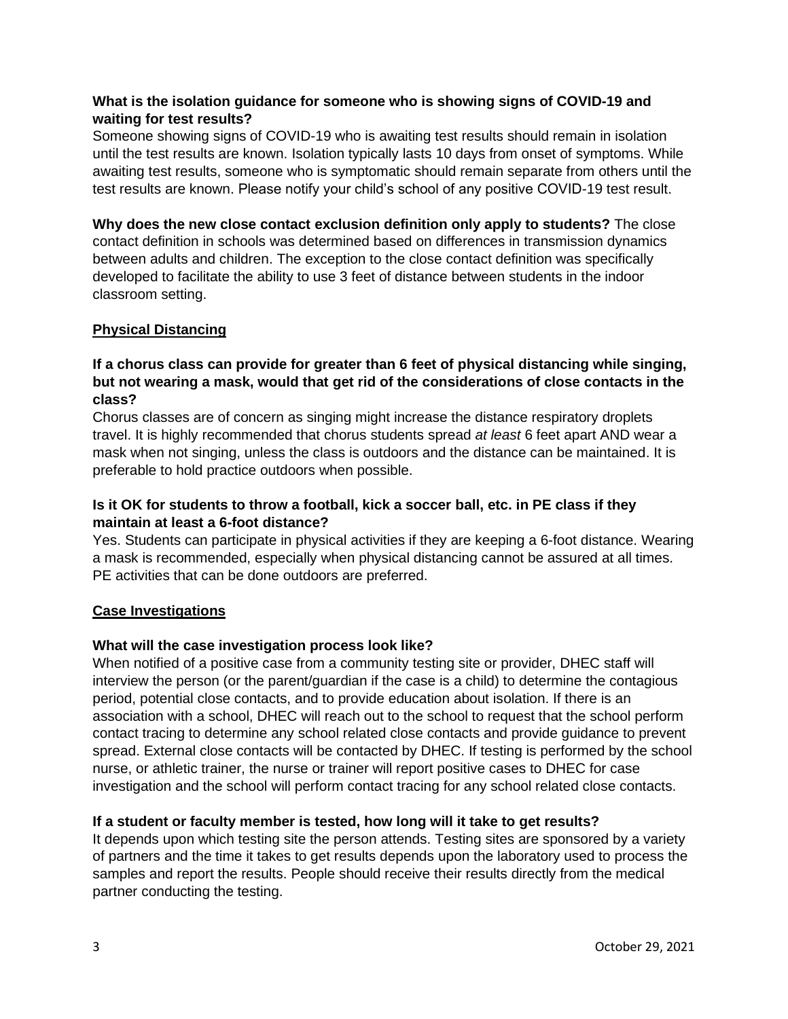## **What is the isolation guidance for someone who is showing signs of COVID-19 and waiting for test results?**

Someone showing signs of COVID-19 who is awaiting test results should remain in isolation until the test results are known. Isolation typically lasts 10 days from onset of symptoms. While awaiting test results, someone who is symptomatic should remain separate from others until the test results are known. Please notify your child's school of any positive COVID-19 test result.

**Why does the new close contact exclusion definition only apply to students?** The close contact definition in schools was determined based on differences in transmission dynamics between adults and children. The exception to the close contact definition was specifically developed to facilitate the ability to use 3 feet of distance between students in the indoor classroom setting.

## **Physical Distancing**

## **If a chorus class can provide for greater than 6 feet of physical distancing while singing, but not wearing a mask, would that get rid of the considerations of close contacts in the class?**

Chorus classes are of concern as singing might increase the distance respiratory droplets travel. It is highly recommended that chorus students spread *at least* 6 feet apart AND wear a mask when not singing, unless the class is outdoors and the distance can be maintained. It is preferable to hold practice outdoors when possible.

## **Is it OK for students to throw a football, kick a soccer ball, etc. in PE class if they maintain at least a 6-foot distance?**

Yes. Students can participate in physical activities if they are keeping a 6-foot distance. Wearing a mask is recommended, especially when physical distancing cannot be assured at all times. PE activities that can be done outdoors are preferred.

## **Case Investigations**

## **What will the case investigation process look like?**

When notified of a positive case from a community testing site or provider, DHEC staff will interview the person (or the parent/guardian if the case is a child) to determine the contagious period, potential close contacts, and to provide education about isolation. If there is an association with a school, DHEC will reach out to the school to request that the school perform contact tracing to determine any school related close contacts and provide guidance to prevent spread. External close contacts will be contacted by DHEC. If testing is performed by the school nurse, or athletic trainer, the nurse or trainer will report positive cases to DHEC for case investigation and the school will perform contact tracing for any school related close contacts.

## **If a student or faculty member is tested, how long will it take to get results?**

It depends upon which testing site the person attends. Testing sites are sponsored by a variety of partners and the time it takes to get results depends upon the laboratory used to process the samples and report the results. People should receive their results directly from the medical partner conducting the testing.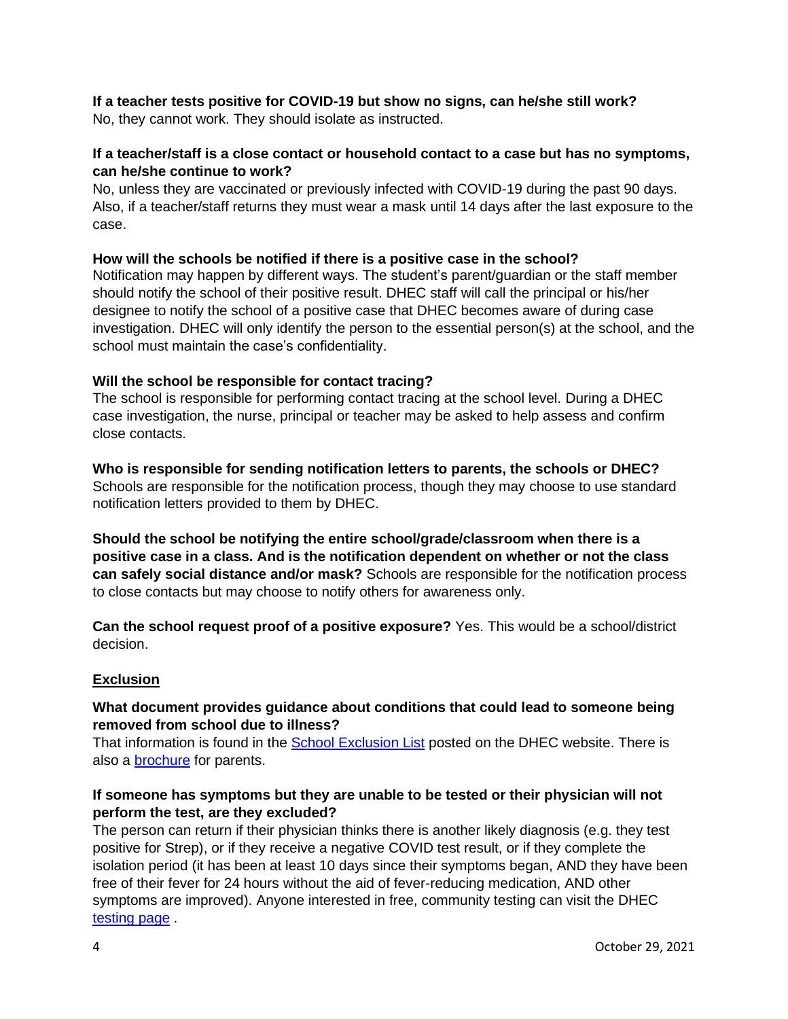## **If a teacher tests positive for COVID-19 but show no signs, can he/she still work?**

No, they cannot work. They should isolate as instructed.

## **If a teacher/staff is a close contact or household contact to a case but has no symptoms, can he/she continue to work?**

No, unless they are vaccinated or previously infected with COVID-19 during the past 90 days. Also, if a teacher/staff returns they must wear a mask until 14 days after the last exposure to the case.

## **How will the schools be notified if there is a positive case in the school?**

Notification may happen by different ways. The student's parent/guardian or the staff member should notify the school of their positive result. DHEC staff will call the principal or his/her designee to notify the school of a positive case that DHEC becomes aware of during case investigation. DHEC will only identify the person to the essential person(s) at the school, and the school must maintain the case's confidentiality.

## **Will the school be responsible for contact tracing?**

The school is responsible for performing contact tracing at the school level. During a DHEC case investigation, the nurse, principal or teacher may be asked to help assess and confirm close contacts.

**Who is responsible for sending notification letters to parents, the schools or DHEC?** Schools are responsible for the notification process, though they may choose to use standard notification letters provided to them by DHEC.

**Should the school be notifying the entire school/grade/classroom when there is a positive case in a class. And is the notification dependent on whether or not the class can safely social distance and/or mask?** Schools are responsible for the notification process to close contacts but may choose to notify others for awareness only.

**Can the school request proof of a positive exposure?** Yes. This would be a school/district decision.

## **Exclusion**

## **What document provides guidance about conditions that could lead to someone being removed from school due to illness?**

That information is found in the [School Exclusion List](https://www.scdhec.gov/health/child-teen-health/school-exclusion) posted on the DHEC website. There is also a [brochure](http://scdhec.gov/sites/default/files/Library/CR-010752.pdf) for parents.

## **If someone has symptoms but they are unable to be tested or their physician will not perform the test, are they excluded?**

The person can return if their physician thinks there is another likely diagnosis (e.g. they test positive for Strep), or if they receive a negative COVID test result, or if they complete the isolation period (it has been at least 10 days since their symptoms began, AND they have been free of their fever for 24 hours without the aid of fever-reducing medication, AND other symptoms are improved). Anyone interested in free, community testing can visit the DHEC [testing page](https://www.scdhec.gov/infectious-diseases/viruses/coronavirus-disease-2019-covid-19/covid-19-screening-testing-sites) .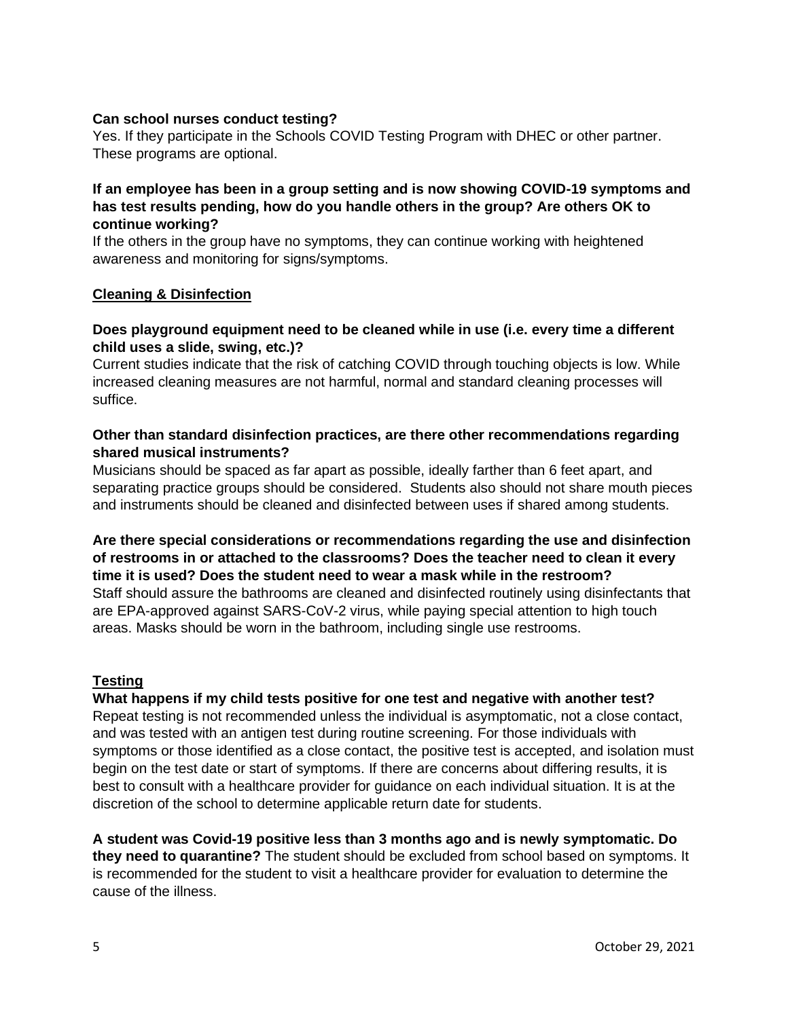#### **Can school nurses conduct testing?**

Yes. If they participate in the Schools COVID Testing Program with DHEC or other partner. These programs are optional.

## **If an employee has been in a group setting and is now showing COVID-19 symptoms and has test results pending, how do you handle others in the group? Are others OK to continue working?**

If the others in the group have no symptoms, they can continue working with heightened awareness and monitoring for signs/symptoms.

#### **Cleaning & Disinfection**

## **Does playground equipment need to be cleaned while in use (i.e. every time a different child uses a slide, swing, etc.)?**

Current studies indicate that the risk of catching COVID through touching objects is low. While increased cleaning measures are not harmful, normal and standard cleaning processes will suffice.

#### **Other than standard disinfection practices, are there other recommendations regarding shared musical instruments?**

Musicians should be spaced as far apart as possible, ideally farther than 6 feet apart, and separating practice groups should be considered. Students also should not share mouth pieces and instruments should be cleaned and disinfected between uses if shared among students.

## **Are there special considerations or recommendations regarding the use and disinfection of restrooms in or attached to the classrooms? Does the teacher need to clean it every time it is used? Does the student need to wear a mask while in the restroom?** Staff should assure the bathrooms are cleaned and disinfected routinely using disinfectants that are EPA-approved against SARS-CoV-2 virus, while paying special attention to high touch areas. Masks should be worn in the bathroom, including single use restrooms.

## **Testing**

#### **What happens if my child tests positive for one test and negative with another test?**

Repeat testing is not recommended unless the individual is asymptomatic, not a close contact, and was tested with an antigen test during routine screening. For those individuals with symptoms or those identified as a close contact, the positive test is accepted, and isolation must begin on the test date or start of symptoms. If there are concerns about differing results, it is best to consult with a healthcare provider for guidance on each individual situation. It is at the discretion of the school to determine applicable return date for students.

**A student was Covid-19 positive less than 3 months ago and is newly symptomatic. Do they need to quarantine?** The student should be excluded from school based on symptoms. It is recommended for the student to visit a healthcare provider for evaluation to determine the cause of the illness.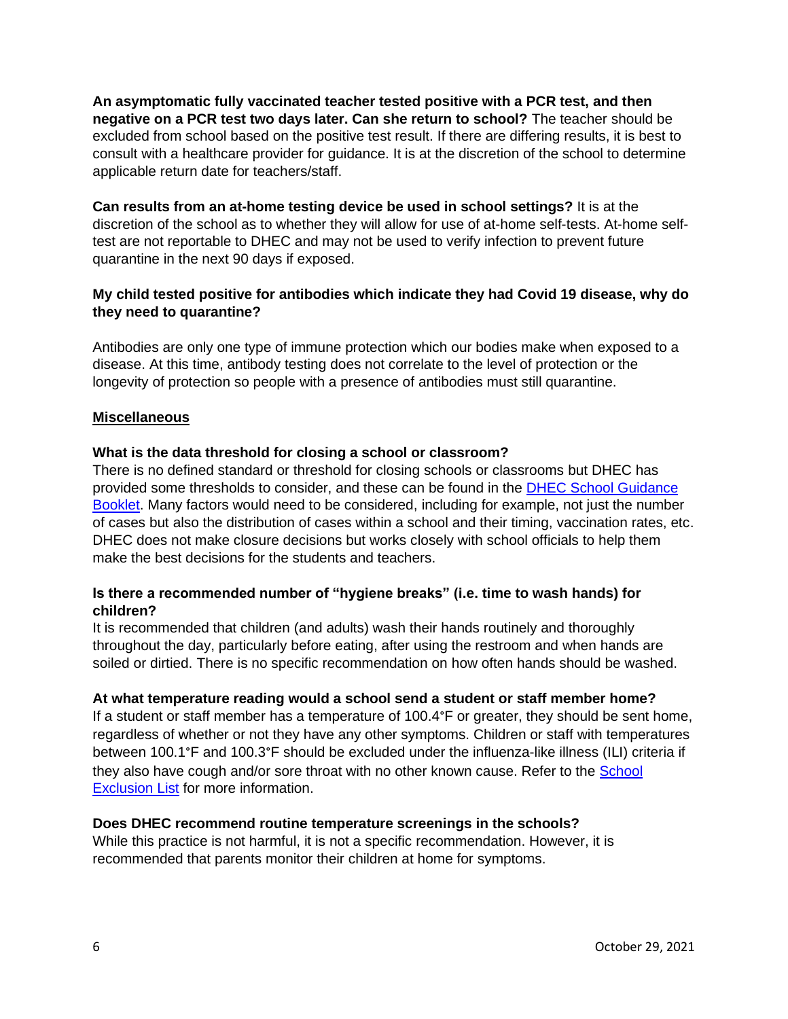**An asymptomatic fully vaccinated teacher tested positive with a PCR test, and then negative on a PCR test two days later. Can she return to school?** The teacher should be excluded from school based on the positive test result. If there are differing results, it is best to consult with a healthcare provider for guidance. It is at the discretion of the school to determine applicable return date for teachers/staff.

**Can results from an at-home testing device be used in school settings?** It is at the discretion of the school as to whether they will allow for use of at-home self-tests. At-home selftest are not reportable to DHEC and may not be used to verify infection to prevent future quarantine in the next 90 days if exposed.

## **My child tested positive for antibodies which indicate they had Covid 19 disease, why do they need to quarantine?**

Antibodies are only one type of immune protection which our bodies make when exposed to a disease. At this time, antibody testing does not correlate to the level of protection or the longevity of protection so people with a presence of antibodies must still quarantine.

## **Miscellaneous**

## **What is the data threshold for closing a school or classroom?**

There is no defined standard or threshold for closing schools or classrooms but DHEC has provided some thresholds to consider, and these can be found in the [DHEC School Guidance](https://scdhec.gov/sites/default/files/media/document/2021.2022-School-Guidance-Booklet-10.20.21.pdf)  [Booklet.](https://scdhec.gov/sites/default/files/media/document/2021.2022-School-Guidance-Booklet-10.20.21.pdf) Many factors would need to be considered, including for example, not just the number of cases but also the distribution of cases within a school and their timing, vaccination rates, etc. DHEC does not make closure decisions but works closely with school officials to help them make the best decisions for the students and teachers.

## **Is there a recommended number of "hygiene breaks" (i.e. time to wash hands) for children?**

It is recommended that children (and adults) wash their hands routinely and thoroughly throughout the day, particularly before eating, after using the restroom and when hands are soiled or dirtied. There is no specific recommendation on how often hands should be washed.

## **At what temperature reading would a school send a student or staff member home?**

If a student or staff member has a temperature of 100.4°F or greater, they should be sent home, regardless of whether or not they have any other symptoms. Children or staff with temperatures between 100.1°F and 100.3°F should be excluded under the influenza-like illness (ILI) criteria if they also have cough and/or sore throat with no other known cause. Refer to the [School](https://www.scdhec.gov/health/child-teen-health/school-exclusion)  **[Exclusion List](https://www.scdhec.gov/health/child-teen-health/school-exclusion) for more information.** 

## **Does DHEC recommend routine temperature screenings in the schools?**

While this practice is not harmful, it is not a specific recommendation. However, it is recommended that parents monitor their children at home for symptoms.